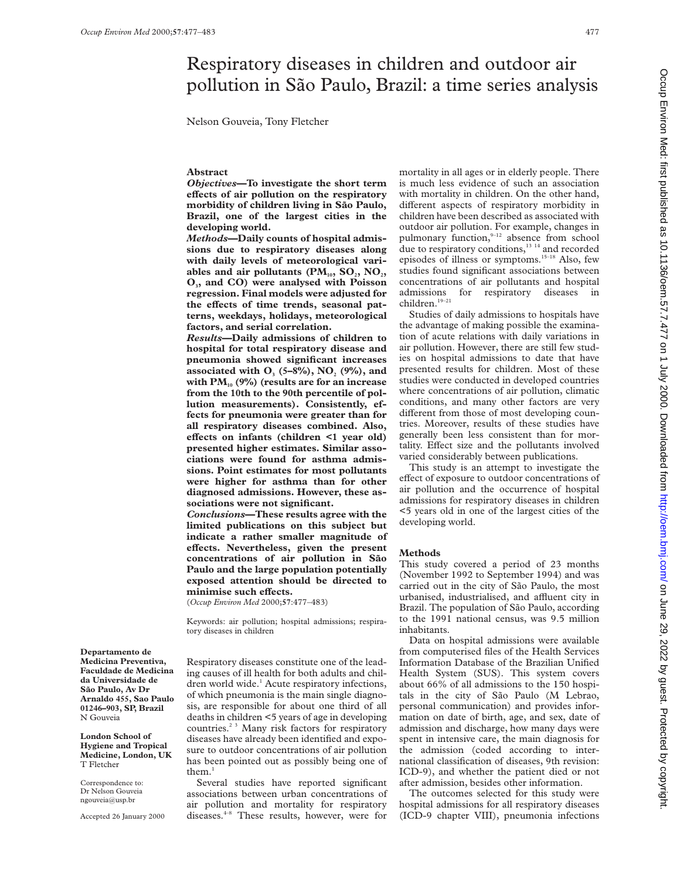# Respiratory diseases in children and outdoor air pollution in São Paulo, Brazil: a time series analysis

Nelson Gouveia, Tony Fletcher

### **Abstract**

*Objectives***—To investigate the short term eVects of air pollution on the respiratory** morbidity of children living in São Paulo, **Brazil, one of the largest cities in the developing world.**

*Methods***—Daily counts of hospital admissions due to respiratory diseases along with daily levels of meteorological vari**ables and air pollutants  $(PM_{10}, SO_2, NO_2)$ **O3, and CO) were analysed with Poisson regression. Final models were adjusted for** the effects of time trends, seasonal pat**terns, weekdays, holidays, meteorological factors, and serial correlation.**

*Results***—Daily admissions of children to hospital for total respiratory disease and pneumonia showed significant increases associated with O<sub>3</sub> (5–8%), NO<sub>2</sub> (9%), and** with PM<sub>10</sub> (9%) (results are for an increase **from the 10th to the 90th percentile of pollution measurements). Consistently, effects for pneumonia were greater than for all respiratory diseases combined. Also,** effects on infants (children <1 year old) **presented higher estimates. Similar associations were found for asthma admissions. Point estimates for most pollutants were higher for asthma than for other diagnosed admissions. However, these associations were not significant.**

*Conclusions***—These results agree with the limited publications on this subject but indicate a rather smaller magnitude of** effects. Nevertheless, given the present **concentrations of air pollution in Sa˜o Paulo and the large population potentially exposed attention should be directed to**  $minimise such effects.$ 

(*Occup Environ Med* 2000;**57**:477–483)

Keywords: air pollution; hospital admissions; respiratory diseases in children

**Departamento de Medicina Preventiva, Faculdade de Medicina da Universidade de** São Paulo, Av Dr **Arnaldo 455, Sao Paulo 01246–903, SP, Brazil** N Gouveia

**London School of Hygiene and Tropical Medicine, London, UK** T Fletcher

Correspondence to: Dr Nelson Gouveia ngouveia@usp.br

Accepted 26 January 2000

Respiratory diseases constitute one of the leading causes of ill health for both adults and children world wide.<sup>1</sup> Acute respiratory infections, of which pneumonia is the main single diagnosis, are responsible for about one third of all deaths in children <5 years of age in developing countries.2 3 Many risk factors for respiratory diseases have already been identified and exposure to outdoor concentrations of air pollution has been pointed out as possibly being one of them. $<sup>1</sup>$ </sup>

Several studies have reported significant associations between urban concentrations of air pollution and mortality for respiratory diseases.4–8 These results, however, were for

mortality in all ages or in elderly people. There is much less evidence of such an association with mortality in children. On the other hand, different aspects of respiratory morbidity in children have been described as associated with outdoor air pollution. For example, changes in pulmonary function,<sup>9-12</sup> absence from school due to respiratory conditions,<sup>13 14</sup> and recorded episodes of illness or symptoms.15–18 Also, few studies found significant associations between concentrations of air pollutants and hospital admissions for respiratory diseases in children.19–21

Studies of daily admissions to hospitals have the advantage of making possible the examination of acute relations with daily variations in air pollution. However, there are still few studies on hospital admissions to date that have presented results for children. Most of these studies were conducted in developed countries where concentrations of air pollution, climatic conditions, and many other factors are very different from those of most developing countries. Moreover, results of these studies have generally been less consistent than for mortality. Effect size and the pollutants involved varied considerably between publications.

This study is an attempt to investigate the effect of exposure to outdoor concentrations of air pollution and the occurrence of hospital admissions for respiratory diseases in children <5 years old in one of the largest cities of the developing world.

#### **Methods**

This study covered a period of 23 months (November 1992 to September 1994) and was carried out in the city of São Paulo, the most urbanised, industrialised, and affluent city in Brazil. The population of São Paulo, according to the 1991 national census, was 9.5 million inhabitants.

Data on hospital admissions were available from computerised files of the Health Services Information Database of the Brazilian Unified Health System (SUS). This system covers about 66% of all admissions to the 150 hospitals in the city of São Paulo (M Lebrao, personal communication) and provides information on date of birth, age, and sex, date of admission and discharge, how many days were spent in intensive care, the main diagnosis for the admission (coded according to international classification of diseases, 9th revision: ICD-9), and whether the patient died or not after admission, besides other information.

The outcomes selected for this study were hospital admissions for all respiratory diseases (ICD-9 chapter VIII), pneumonia infections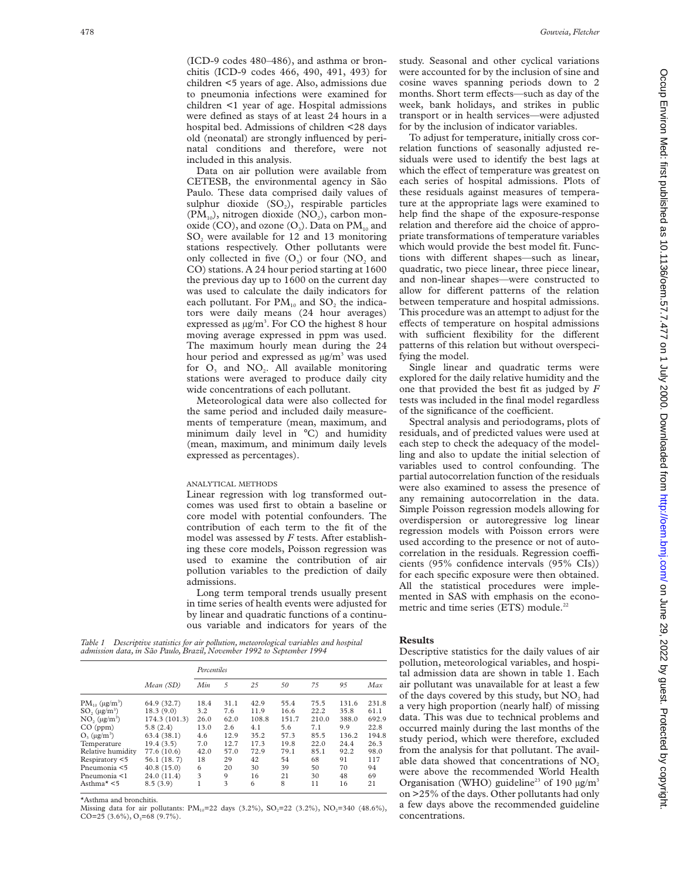(ICD-9 codes 480–486), and asthma or bronchitis (ICD-9 codes 466, 490, 491, 493) for children <5 years of age. Also, admissions due to pneumonia infections were examined for children <1 year of age. Hospital admissions were defined as stays of at least 24 hours in a hospital bed. Admissions of children <28 days old (neonatal) are strongly influenced by perinatal conditions and therefore, were not included in this analysis.

Data on air pollution were available from CETESB, the environmental agency in São Paulo. These data comprised daily values of sulphur dioxide (SO<sub>2</sub>), respirable particles  $(PM_{10})$ , nitrogen dioxide  $(NO<sub>2</sub>)$ , carbon monoxide (CO), and ozone  $(O_3)$ . Data on  $PM_{10}$  and SO<sub>2</sub> were available for 12 and 13 monitoring stations respectively. Other pollutants were only collected in five  $(O_2)$  or four  $(NO_2)$  and CO) stations. A 24 hour period starting at 1600 the previous day up to 1600 on the current day was used to calculate the daily indicators for each pollutant. For  $PM_{10}$  and  $SO_2$  the indicators were daily means (24 hour averages) expressed as  $\mu g/m^3$ . For CO the highest 8 hour moving average expressed in ppm was used. The maximum hourly mean during the 24 hour period and expressed as  $\mu$ g/m<sup>3</sup> was used for  $O_3$  and  $NO_2$ . All available monitoring stations were averaged to produce daily city wide concentrations of each pollutant.

Meteorological data were also collected for the same period and included daily measurements of temperature (mean, maximum, and minimum daily level in °C) and humidity (mean, maximum, and minimum daily levels expressed as percentages).

#### ANALYTICAL METHODS

Linear regression with log transformed outcomes was used first to obtain a baseline or core model with potential confounders. The contribution of each term to the fit of the model was assessed by *F* tests. After establishing these core models, Poisson regression was used to examine the contribution of air pollution variables to the prediction of daily admissions.

Long term temporal trends usually present in time series of health events were adjusted for by linear and quadratic functions of a continuous variable and indicators for years of the

*Table 1 Descriptive statistics for air pollution, meteorological variables and hospital admission data, in Sa˜o Paulo, Brazil, November 1992 to September 1994*

|                           | Mean (SD)     | Percentiles |      |       |       |       |       |       |
|---------------------------|---------------|-------------|------|-------|-------|-------|-------|-------|
|                           |               | Min         | 5    | 25    | 50    | 75    | 95    | Max   |
| $PM_{10} (\mu g/m^3)$     | 64.9 (32.7)   | 18.4        | 31.1 | 42.9  | 55.4  | 75.5  | 131.6 | 231.8 |
| $SO2(\mu g/m^3)$          | 18.3(9.0)     | 3.2         | 7.6  | 11.9  | 16.6  | 22.2  | 35.8  | 61.1  |
| $NO2(\mu g/m3)$           | 174.3 (101.3) | 26.0        | 62.0 | 108.8 | 151.7 | 210.0 | 388.0 | 692.9 |
| CO (ppm)                  | 5.8(2.4)      | 13.0        | 2.6  | 4.1   | 5.6   | 7.1   | 9.9   | 22.8  |
| $O3$ (µg/m <sup>3</sup> ) | 63.4(38.1)    | 4.6         | 12.9 | 35.2  | 57.3  | 85.5  | 136.2 | 194.8 |
| Temperature               | 19.4(3.5)     | 7.0         | 12.7 | 17.3  | 19.8  | 22.0  | 24.4  | 26.3  |
| Relative humidity         | 77.6 (10.6)   | 42.0        | 57.0 | 72.9  | 79.1  | 85.1  | 92.2  | 98.0  |
| Respiratory <5            | 56.1 (18.7)   | 18          | 29   | 42    | 54    | 68    | 91    | 117   |
| Pneumonia <5              | 40.8(15.0)    | 6           | 20   | 30    | 39    | 50    | 70    | 94    |
| Pneumonia <1              | 24.0 (11.4)   | 3           | 9    | 16    | 21    | 30    | 48    | 69    |
| Asthma* <5                | 8.5(3.9)      |             | 3    | 6     | 8     | 11    | 16    | 21    |
|                           |               |             |      |       |       |       |       |       |

\*Asthma and bronchitis.

Missing data for air pollutants:  $PM_{10} = 22$  days (3.2%),  $SO_2 = 22$  (3.2%),  $NO_2 = 340$  (48.6%),  $CO=25$  (3.6%),  $O_3=68$  (9.7%).

study. Seasonal and other cyclical variations were accounted for by the inclusion of sine and cosine waves spanning periods down to 2 months. Short term effects—such as day of the week, bank holidays, and strikes in public transport or in health services—were adjusted for by the inclusion of indicator variables.

To adjust for temperature, initially cross correlation functions of seasonally adjusted residuals were used to identify the best lags at which the effect of temperature was greatest on each series of hospital admissions. Plots of these residuals against measures of temperature at the appropriate lags were examined to help find the shape of the exposure-response relation and therefore aid the choice of appropriate transformations of temperature variables which would provide the best model fit. Functions with different shapes—such as linear, quadratic, two piece linear, three piece linear, and non-linear shapes—were constructed to allow for different patterns of the relation between temperature and hospital admissions. This procedure was an attempt to adjust for the effects of temperature on hospital admissions with sufficient flexibility for the different patterns of this relation but without overspecifying the model.

Single linear and quadratic terms were explored for the daily relative humidity and the one that provided the best fit as judged by *F* tests was included in the final model regardless of the significance of the coefficient.

Spectral analysis and periodograms, plots of residuals, and of predicted values were used at each step to check the adequacy of the modelling and also to update the initial selection of variables used to control confounding. The partial autocorrelation function of the residuals were also examined to assess the presence of any remaining autocorrelation in the data. Simple Poisson regression models allowing for overdispersion or autoregressive log linear regression models with Poisson errors were used according to the presence or not of autocorrelation in the residuals. Regression coefficients (95% confidence intervals (95% CIs)) for each specific exposure were then obtained. All the statistical procedures were implemented in SAS with emphasis on the econometric and time series (ETS) module.<sup>22</sup>

#### **Results**

Descriptive statistics for the daily values of air pollution, meteorological variables, and hospital admission data are shown in table 1. Each air pollutant was unavailable for at least a few of the days covered by this study, but  $NO<sub>2</sub>$  had a very high proportion (nearly half) of missing data. This was due to technical problems and occurred mainly during the last months of the study period, which were therefore, excluded from the analysis for that pollutant. The available data showed that concentrations of  $NO<sub>2</sub>$ were above the recommended World Health Organisation (WHO) guideline<sup>23</sup> of 190  $\mu$ g/m<sup>3</sup> on >25% of the days. Other pollutants had only a few days above the recommended guideline concentrations.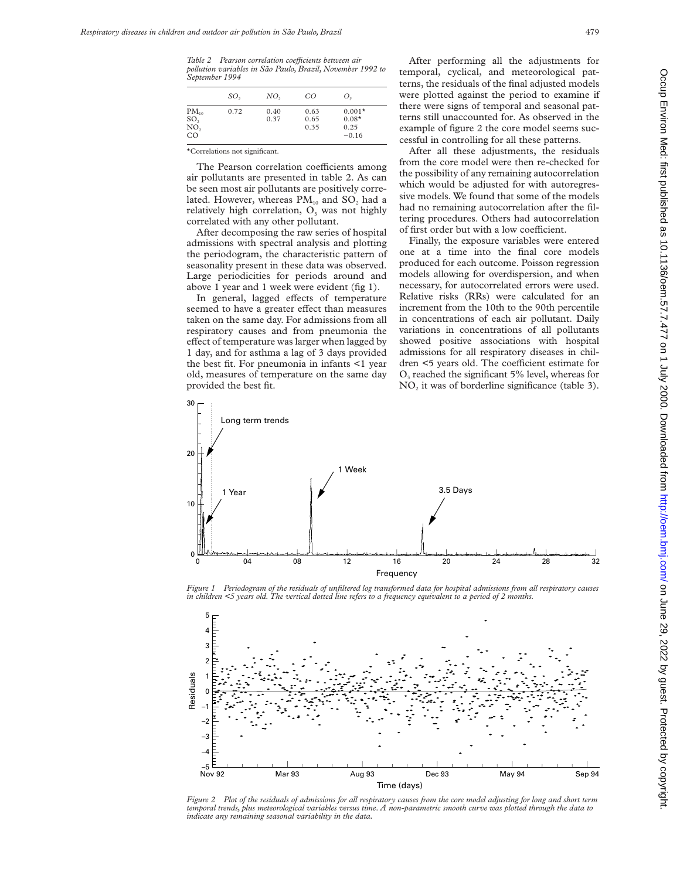*Table 2 Pearson correlation coeYcients between air pollution variables in Sa˜o Paulo, Brazil, November 1992 to September 1994*

|                                                         | SO <sub>2</sub> | NO <sub>2</sub> | CO                   | Ο,                                     |
|---------------------------------------------------------|-----------------|-----------------|----------------------|----------------------------------------|
| $PM_{10}$<br>SO <sub>2</sub><br>$N\overline{O}$ ,<br>CO | 0.72            | 0.40<br>0.37    | 0.63<br>0.65<br>0.35 | $0.001*$<br>$0.08*$<br>0.25<br>$-0.16$ |

\*Correlations not significant.

The Pearson correlation coefficients among air pollutants are presented in table 2. As can be seen most air pollutants are positively correlated. However, whereas  $PM_{10}$  and  $SO_2$  had a relatively high correlation,  $O<sub>3</sub>$  was not highly correlated with any other pollutant.

After decomposing the raw series of hospital admissions with spectral analysis and plotting the periodogram, the characteristic pattern of seasonality present in these data was observed. Large periodicities for periods around and above 1 year and 1 week were evident (fig 1).

In general, lagged effects of temperature seemed to have a greater effect than measures taken on the same day. For admissions from all respiratory causes and from pneumonia the effect of temperature was larger when lagged by 1 day, and for asthma a lag of 3 days provided the best fit. For pneumonia in infants <1 year old, measures of temperature on the same day provided the best fit.

After performing all the adjustments for temporal, cyclical, and meteorological patterns, the residuals of the final adjusted models were plotted against the period to examine if there were signs of temporal and seasonal patterns still unaccounted for. As observed in the example of figure 2 the core model seems successful in controlling for all these patterns.

After all these adjustments, the residuals from the core model were then re-checked for the possibility of any remaining autocorrelation which would be adjusted for with autoregressive models. We found that some of the models had no remaining autocorrelation after the filtering procedures. Others had autocorrelation of first order but with a low coefficient.

Finally, the exposure variables were entered one at a time into the final core models produced for each outcome. Poisson regression models allowing for overdispersion, and when necessary, for autocorrelated errors were used. Relative risks (RRs) were calculated for an increment from the 10th to the 90th percentile in concentrations of each air pollutant. Daily variations in concentrations of all pollutants showed positive associations with hospital admissions for all respiratory diseases in children <5 years old. The coefficient estimate for  $O<sub>3</sub>$  reached the significant 5% level, whereas for  $NO<sub>2</sub>$  it was of borderline significance (table 3).



*Figure 1 Periodogram of the residuals of unfiltered log transformed data for hospital admissions from all respiratory causes in children <5 years old. The vertical dotted line refers to a frequency equivalent to a period of 2 months.*



*Figure 2 Plot of the residuals of admissions for all respiratory causes from the core model adjusting for long and short term temporal trends, plus meteorological variables versus time. A non-parametric smooth curve was plotted through the data to indicate any remaining seasonal variability in the data.*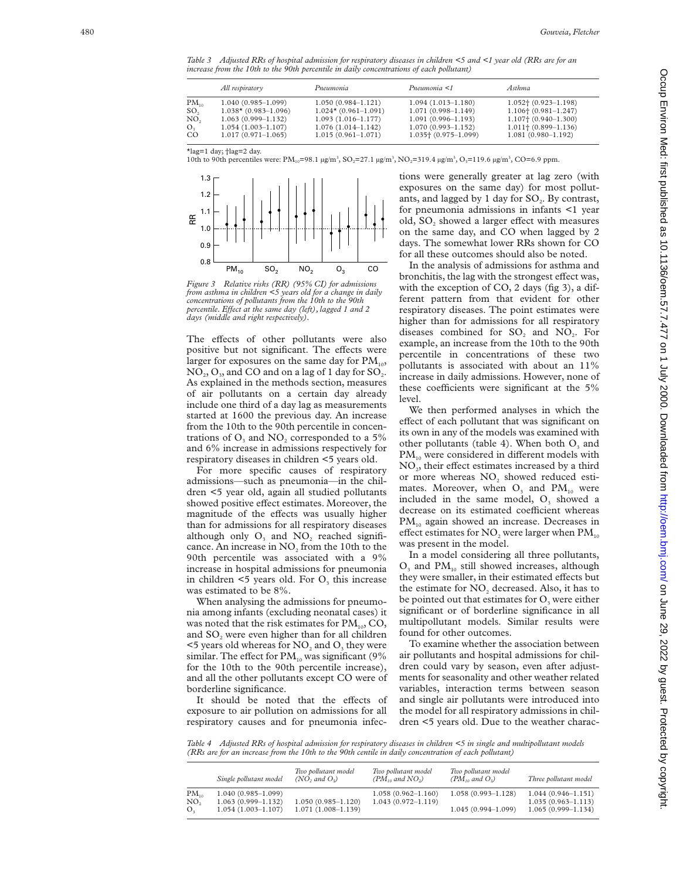*Table 3 Adjusted RRs of hospital admission for respiratory diseases in children <5 and <1 year old (RRs are for an increase from the 10th to the 90th percentile in daily concentrations of each pollutant)*

| $PM_{10}$<br>$1.052 \uparrow (0.923 - 1.198)$<br>$1.040(0.985-1.099)$<br>$1.050(0.984 - 1.121)$<br>$1.094(1.013 - 1.180)$                                                                                                                                                                                                                                                                                                                                                     |  |
|-------------------------------------------------------------------------------------------------------------------------------------------------------------------------------------------------------------------------------------------------------------------------------------------------------------------------------------------------------------------------------------------------------------------------------------------------------------------------------|--|
| SO,<br>$1.024*$ (0.961-1.091)<br>$1.038*$ (0.983-1.096)<br>$1.106 \uparrow (0.981 - 1.247)$<br>$1.071(0.998 - 1.149)$<br>NO,<br>$1.107$ + $(0.940 - 1.300)$<br>$1.063(0.999-1.132)$<br>$1.093(1.016-1.177)$<br>$1.091(0.996 - 1.193)$<br>$1.076(1.014-1.142)$<br>$1.011\pm(0.899-1.136)$<br>O <sub>3</sub><br>$1.054(1.003-1.107)$<br>$1.070(0.993 - 1.152)$<br>CO<br>$1.035$ + $(0.975 - 1.099)$<br>$1.017(0.971 - 1.065)$<br>$1.081(0.980 - 1.192)$<br>$1.015(0.961-1.071)$ |  |

\*lag=1 day; †lag=2 day.

10th to 90th percentiles were:  $PM_{10} = 98.1 \mu g/m^3$ ,  $SO_2 = 27.1 \mu g/m^3$ ,  $NO_2 = 319.4 \mu g/m^3$ ,  $O_3 = 119.6 \mu g/m^3$ ,  $CO = 6.9 \mu g/m^3$ 



*Figure 3 Relative risks (RR) (95% CI) for admissions from asthma in children <5 years old for a change in daily concentrations of pollutants from the 10th to the 90th percentile. EVect at the same day (left), lagged 1 and 2 days (middle and right respectively).*

The effects of other pollutants were also positive but not significant. The effects were larger for exposures on the same day for  $\text{PM}_{\scriptscriptstyle{10}}$ ,  $NO_2, O_3$ , and CO and on a lag of 1 day for  $SO_2$ . As explained in the methods section, measures of air pollutants on a certain day already include one third of a day lag as measurements started at 1600 the previous day. An increase from the 10th to the 90th percentile in concentrations of  $O_3$  and  $NO_2$  corresponded to a 5% and 6% increase in admissions respectively for respiratory diseases in children <5 years old.

For more specific causes of respiratory admissions—such as pneumonia—in the children <5 year old, again all studied pollutants showed positive effect estimates. Moreover, the magnitude of the effects was usually higher than for admissions for all respiratory diseases although only  $O_3$  and  $NO_2$  reached significance. An increase in  $NO<sub>2</sub>$  from the 10th to the 90th percentile was associated with a 9% increase in hospital admissions for pneumonia in children  $\leq$ 5 years old. For  $O_3$  this increase was estimated to be 8%.

When analysing the admissions for pneumonia among infants (excluding neonatal cases) it was noted that the risk estimates for  $PM_{10}$ , CO, and SO <sup>2</sup> were even higher than for all children  $<$  5 years old whereas for  $NO<sub>2</sub>$  and  $O<sub>3</sub>$  they were similar. The effect for  $PM_{10}$  was significant (9% for the 10th to the 90th percentile increase), and all the other pollutants except CO were of borderline significance.

It should be noted that the effects of exposure to air pollution on admissions for all respiratory causes and for pneumonia infections were generally greater at lag zero (with exposures on the same day) for most pollutants, and lagged by 1 day for  $SO<sub>2</sub>$ . By contrast, for pneumonia admissions in infants <1 year old, SO<sub>2</sub> showed a larger effect with measures on the same day, and CO when lagged by 2 days. The somewhat lower RRs shown for CO for all these outcomes should also be noted.

In the analysis of admissions for asthma and bronchitis, the lag with the strongest effect was, with the exception of CO, 2 days (fig 3), a different pattern from that evident for other respiratory diseases. The point estimates were higher than for admissions for all respiratory diseases combined for  $SO_2$  and  $NO_2$ . For example, an increase from the 10th to the 90th percentile in concentrations of these two pollutants is associated with about an 11% increase in daily admissions. However, none of these coefficients were significant at the 5% level.

We then performed analyses in which the effect of each pollutant that was significant on its own in any of the models was examined with other pollutants (table 4). When both  $O_3$  and  $\text{PM}_{10}$  were considered in different models with NO<sub>2</sub>, their effect estimates increased by a third or more whereas NO <sup>2</sup> showed reduced estimates. Moreover, when  $O_3$  and  $PM_{10}$  were included in the same model,  $O_3$  showed a decrease on its estimated coefficient whereas  $PM_{10}$  again showed an increase. Decreases in effect estimates for NO<sub>2</sub> were larger when  $PM_{10}$ was present in the model.

In a model considering all three pollutants,  $O_3$  and  $PM_{10}$  still showed increases, although they were smaller, in their estimated effects but the estimate for  $NO<sub>2</sub>$  decreased. Also, it has to be pointed out that estimates for  $O_3$  were either significant or of borderline significance in all multipollutant models. Similar results were found for other outcomes.

To examine whether the association between air pollutants and hospital admissions for children could vary by season, even after adjustments for seasonality and other weather related variables, interaction terms between season and single air pollutants were introduced into the model for all respiratory admissions in children <5 years old. Due to the weather charac-

*Table 4 Adjusted RRs of hospital admission for respiratory diseases in children <5 in single and multipollutant models (RRs are for an increase from the 10th to the 90th centile in daily concentration of each pollutant)*

|                        | $(PM_{10}$ and $NO_2)$                                                                                                                                  | $(PM_{10}$ and $O_2)$  | Three pollutant model                                                  |
|------------------------|---------------------------------------------------------------------------------------------------------------------------------------------------------|------------------------|------------------------------------------------------------------------|
| $1.050(0.985 - 1.120)$ | $1.058(0.962 - 1.160)$<br>$1.043(0.972 - 1.119)$                                                                                                        | $1.058(0.993 - 1.128)$ | $1.044(0.946-1.151)$<br>$1.035(0.963 - 1.113)$<br>$1.065(0.999-1.134)$ |
|                        | Single pollutant model<br>(NO, and O <sub>2</sub> )<br>$1.040(0.985 - 1.099)$<br>$1.063(0.999 - 1.132)$<br>$1.054(1.003-1.107)$<br>$1.071(1.008-1.139)$ |                        | $1.045(0.994-1.099)$                                                   |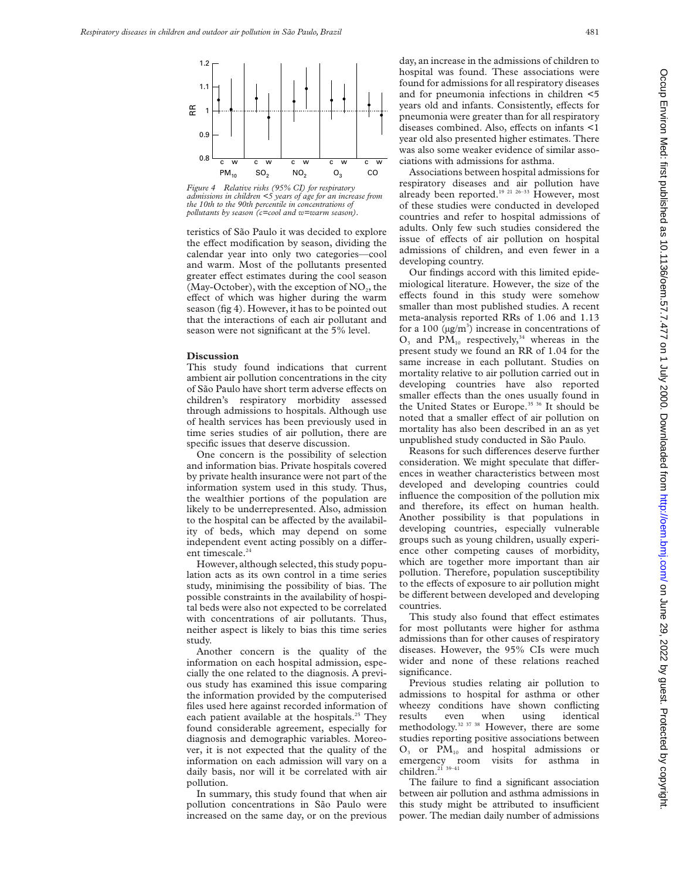

*Figure 4 Relative risks (95% CI) for respiratory admissions in children <5 years of age for an increase from the 10th to the 90th percentile in concentrations of pollutants by season (c=cool and w=warm season).*

teristics of São Paulo it was decided to explore the effect modification by season, dividing the calendar year into only two categories—cool and warm. Most of the pollutants presented greater effect estimates during the cool season (May-October), with the exception of  $NO<sub>2</sub>$ , the effect of which was higher during the warm season (fig 4). However, it has to be pointed out that the interactions of each air pollutant and season were not significant at the 5% level.

#### **Discussion**

This study found indications that current ambient air pollution concentrations in the city of São Paulo have short term adverse effects on children's respiratory morbidity assessed through admissions to hospitals. Although use of health services has been previously used in time series studies of air pollution, there are specific issues that deserve discussion.

One concern is the possibility of selection and information bias. Private hospitals covered by private health insurance were not part of the information system used in this study. Thus, the wealthier portions of the population are likely to be underrepresented. Also, admission to the hospital can be affected by the availability of beds, which may depend on some independent event acting possibly on a different timescale.<sup>24</sup>

However, although selected, this study population acts as its own control in a time series study, minimising the possibility of bias. The possible constraints in the availability of hospital beds were also not expected to be correlated with concentrations of air pollutants. Thus, neither aspect is likely to bias this time series study.

Another concern is the quality of the information on each hospital admission, especially the one related to the diagnosis. A previous study has examined this issue comparing the information provided by the computerised files used here against recorded information of each patient available at the hospitals.<sup>25</sup> They found considerable agreement, especially for diagnosis and demographic variables. Moreover, it is not expected that the quality of the information on each admission will vary on a daily basis, nor will it be correlated with air pollution.

In summary, this study found that when air pollution concentrations in São Paulo were increased on the same day, or on the previous day, an increase in the admissions of children to hospital was found. These associations were found for admissions for all respiratory diseases and for pneumonia infections in children <5 years old and infants. Consistently, effects for pneumonia were greater than for all respiratory diseases combined. Also, effects on infants <1 year old also presented higher estimates. There was also some weaker evidence of similar associations with admissions for asthma.

Associations between hospital admissions for respiratory diseases and air pollution have already been reported.<sup>19 21 26-33</sup> However, most of these studies were conducted in developed countries and refer to hospital admissions of adults. Only few such studies considered the issue of effects of air pollution on hospital admissions of children, and even fewer in a developing country.

Our findings accord with this limited epidemiological literature. However, the size of the effects found in this study were somehow smaller than most published studies. A recent meta-analysis reported RRs of 1.06 and 1.13 for a 100  $(\mu g/m^3)$  increase in concentrations of  $O_3$  and  $PM_{10}$  respectively,<sup>34</sup> whereas in the present study we found an RR of 1.04 for the same increase in each pollutant. Studies on mortality relative to air pollution carried out in developing countries have also reported smaller effects than the ones usually found in the United States or Europe.<sup>35 36</sup> It should be noted that a smaller effect of air pollution on mortality has also been described in an as yet unpublished study conducted in São Paulo.

Reasons for such differences deserve further consideration. We might speculate that differences in weather characteristics between most developed and developing countries could influence the composition of the pollution mix and therefore, its effect on human health. Another possibility is that populations in developing countries, especially vulnerable groups such as young children, usually experience other competing causes of morbidity, which are together more important than air pollution. Therefore, population susceptibility to the effects of exposure to air pollution might be different between developed and developing countries.

This study also found that effect estimates for most pollutants were higher for asthma admissions than for other causes of respiratory diseases. However, the 95% CIs were much wider and none of these relations reached significance.

Previous studies relating air pollution to admissions to hospital for asthma or other wheezy conditions have shown conflicting results even when using identical methodology.32 37 38 However, there are some studies reporting positive associations between  $O_3$  or  $PM_{10}$  and hospital admissions or emergency room visits for asthma in children.<sup>21</sup> 39–41

The failure to find a significant association between air pollution and asthma admissions in this study might be attributed to insufficient power. The median daily number of admissions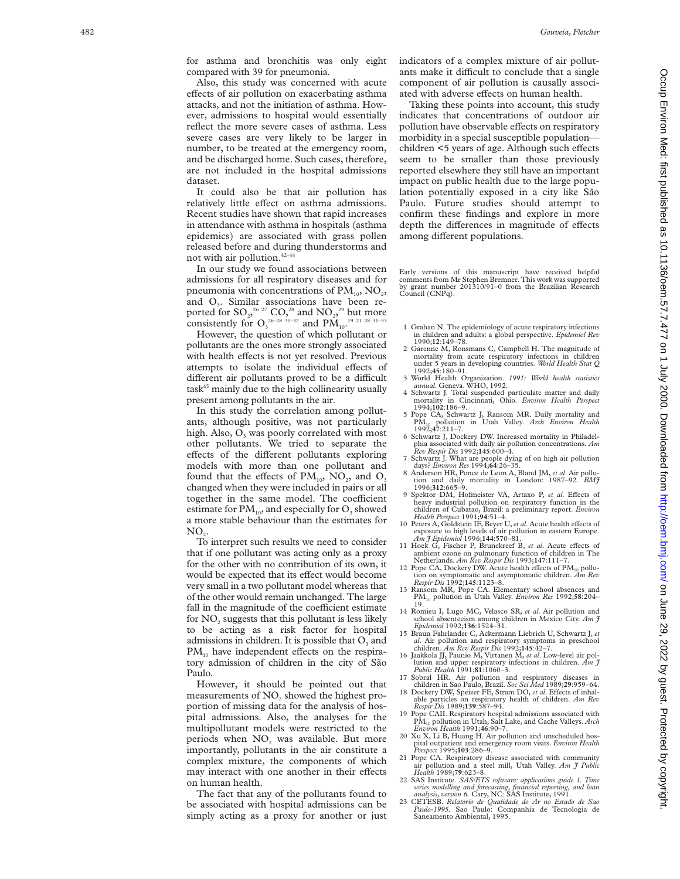for asthma and bronchitis was only eight compared with 39 for pneumonia.

Also, this study was concerned with acute effects of air pollution on exacerbating asthma attacks, and not the initiation of asthma. However, admissions to hospital would essentially reflect the more severe cases of asthma. Less severe cases are very likely to be larger in number, to be treated at the emergency room, and be discharged home. Such cases, therefore, are not included in the hospital admissions dataset.

It could also be that air pollution has relatively little effect on asthma admissions. Recent studies have shown that rapid increases in attendance with asthma in hospitals (asthma epidemics) are associated with grass pollen released before and during thunderstorms and not with air pollution. $42-44$ 

In our study we found associations between admissions for all respiratory diseases and for pneumonia with concentrations of  $\text{PM}_{10}$ , NO<sub>2</sub>, and O 3. Similar associations have been reported for  $\mathrm{SO}_{2^2}{}^{26\,\, 27}$   $\mathrm{CO},^{28}$  and  $\mathrm{NO}_{2^2}{}^{29}$  but more consistently for  $O_3^{26-28}$  30-32 and  $PM_{10}^{19}$ ,  $^{21}$  28 31-33

However, the question of which pollutant or pollutants are the ones more strongly associated with health effects is not yet resolved. Previous attempts to isolate the individual effects of different air pollutants proved to be a difficult  $task<sup>45</sup>$  mainly due to the high collinearity usually present among pollutants in the air.

In this study the correlation among pollutants, although positive, was not particularly high. Also, O<sub>3</sub> was poorly correlated with most other pollutants. We tried to separate the effects of the different pollutants exploring models with more than one pollutant and found that the effects of  $PM_{10}$ , NO<sub>2</sub>, and O<sub>3</sub> changed when they were included in pairs or all together in the same model. The coefficient estimate for  $\text{PM}_{10}$ , and especially for  $\text{O}_3$  showed a more stable behaviour than the estimates for  $\mathrm{NO}_2^{\vphantom{\dagger}}$ 

To interpret such results we need to consider that if one pollutant was acting only as a proxy for the other with no contribution of its own, it would be expected that its effect would become very small in a two pollutant model whereas that of the other would remain unchanged. The large fall in the magnitude of the coefficient estimate for NO<sub>2</sub> suggests that this pollutant is less likely to be acting as a risk factor for hospital admissions in children. It is possible that  $O_3$  and  $PM_{10}$  have independent effects on the respiratory admission of children in the city of São Paulo.

However, it should be pointed out that measurements of NO <sup>2</sup> showed the highest proportion of missing data for the analysis of hospital admissions. Also, the analyses for the multipollutant models were restricted to the periods when NO <sup>2</sup> was available. But more importantly, pollutants in the air constitute a complex mixture, the components of which may interact with one another in their effects on human health.

The fact that any of the pollutants found to be associated with hospital admissions can be simply acting as a proxy for another or just indicators of a complex mixture of air pollutants make it difficult to conclude that a single component of air pollution is causally associated with adverse effects on human health.

Taking these points into account, this study indicates that concentrations of outdoor air pollution have observable effects on respiratory morbidity in a special susceptible population children <5 years of age. Although such effects seem to be smaller than those previously reported elsewhere they still have an important impact on public health due to the large population potentially exposed in a city like São Paulo. Future studies should attempt to confirm these findings and explore in more depth the differences in magnitude of effects among different populations.

Early versions of this manuscript have received helpful comments from Mr Stephen Bremner. This work was supported by grant number 201310/91–0 from the Brazilian Research Council (CNPq).

- 1 Grahan N. The epidemiology of acute respiratory infections in children and adults: a global perspective. *Epidemiol Rev* 1990;**12**:149–78.
- Exercise M, Ronsmans C, Campbell H. The magnitude of mortality from acute respiratory infections in children mortality from acute respiratory infections in under 5 years in developing countries. *World Health Stat Q*
- 1992;**45**:180–91. 3 World Health Organization. *1991: World health statistics annual*. Geneva. WHO, 1992.
- 4 Schwartz J. Total suspended particulate matter and daily mortality in Cincinnati, Ohio. *Environ Health Perspect*<br>1994;102:186–9.
- 1994;**102**:186–9. 5 Pope CA, Schwartz J, Ransom MR. Daily mortality and PM10 pollution in Utah Valley. *Arch Environ Health* 1992;**47**:211–7.
- 6 Schwartz J, Dockery DW. Increased mortality in Philadelphia associated with daily air pollution concentrations. *Am Rev Respir Dis* 1992;**145**:600–4.
- 7 Schwartz J. What are people dying of on high air pollution
- 8 Anderson HR, Ponce de Leon A, Bland JM, *et al.* Air pollution and daily mortality in London: 1987–92. *BMJ* 1996;**312**:665–9.
- 9 Spektor DM, Hofmeister VA, Artaxo P, et al. Effects of heavy industrial pollution on respiratory function in the children of Cubatao, Brazil: a preliminary report. *Environ*
- *Health Perspect* 1991;**94**:51–4.<br>
10 Peters A, Goldstein IF, Beyer U, *et al*. Acute health effects of<br>
exposure to high levels of air pollution in eastern Europe.<br> *Am J Epidemiol* 1996;**144**:570–81.
- 11 Hoek G, Fischer P, Brunekreef B, et al. Acute effects of ambient ozone on pulmonary function of children in The Netherlands. *Am Rev Respir Dis* 1993;**147**:111–7.
- 12 Pope CA, Dockery DW. Acute health effects of PM<sub>10</sub> pollution on symptomatic and asymptomatic children. *Am Rev Respir Dis* 1992;**145**:1123–8. 13 Ransom MR, Pope CA. Elementary school absences and
- PM10 pollution in Utah Valley. *Environ Res* 1992;**58**:204–
- 19. 14 Romieu I, Lugo MC, Velasco SR, *et al*. Air pollution and school absenteeism among children in Mexico City. *Am J*
- *Epidemiol* 1992;**136**:1524–31. 26. Air pollution and respiratory symptoms in preschool<br>al. Air pollution and respiratory symptoms in preschool<br>children. Am Rev Respir Dis 1992;145:42–7.
- 16 Jaakkola JJ, Paunio M, Virtanen M, et al. Low-level air pollution and upper respiratory infections in children. *Am J Public Health* 1991;**81**:1060–3.
- 
- 17 Sobral HR. Air pollution and respiratory diseases in children in Sao Paulo, Brazil. *Soc Sci Med* 1989;**29**:959–64. 18 Dockery DW, Speizer FE, Stram DO, *et al*. E Vects of inhalable particles on respiratory health of children. *Am Rev Respir Dis* 1989;**139**:587–94.
- 19 Pope CAII. Respiratory hospital admissions associated with PM10 pollution in Utah, Salt Lake, and Cache Valleys. *Arch Environ Health* 1991;**46**:90–7.
- 20 Xu X, Li B, Huang H. Air pollution and unscheduled hospital outpatient and emergency room visits. *Environ Health Perspect* 1995;**103**:286–9.
- 21 Pope CA. Respiratory disease associated with community air pollution and a steel mill, Utah Valley. *Am J Public Health* 1989;**79**:623–8.
- 22 SAS Institute. *SAS/ETS software: applications guide 1. Time series modelling and forecasting, financial reporting, and loan analysis, version 6.* Cary, NC: SAS Institute, 1991.
- 23 CETESB. *Relatorio de Qualidade do Ar no Estado de Sao Paulo-1995.* Sao Paulo: Companhia de Tecnologia de Saneamento Ambiental, 1995.